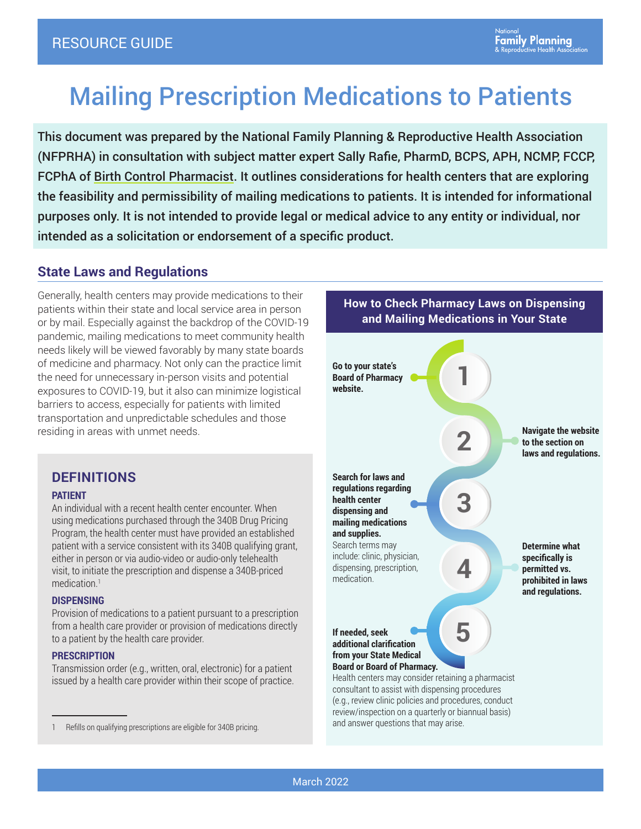# Mailing Prescription Medications to Patients

This document was prepared by the National Family Planning & Reproductive Health Association (NFPRHA) in consultation with subject matter expert Sally Rafie, PharmD, BCPS, APH, NCMP, FCCP, FCPhA of [Birth Control Pharmacist](https://birthcontrolpharmacist.com/). It outlines considerations for health centers that are exploring the feasibility and permissibility of mailing medications to patients. It is intended for informational purposes only. It is not intended to provide legal or medical advice to any entity or individual, nor intended as a solicitation or endorsement of a specific product.

## **State Laws and Regulations**

Generally, health centers may provide medications to their patients within their state and local service area in person or by mail. Especially against the backdrop of the COVID-19 pandemic, mailing medications to meet community health needs likely will be viewed favorably by many state boards of medicine and pharmacy. Not only can the practice limit the need for unnecessary in-person visits and potential exposures to COVID-19, but it also can minimize logistical barriers to access, especially for patients with limited transportation and unpredictable schedules and those residing in areas with unmet needs.

## **DEFINITIONS**

#### **PATIENT**

An individual with a recent health center encounter. When using medications purchased through the 340B Drug Pricing Program, the health center must have provided an established patient with a service consistent with its 340B qualifying grant, either in person or via audio-video or audio-only telehealth visit, to initiate the prescription and dispense a 340B-priced medication.<sup>1</sup>

#### **DISPENSING**

Provision of medications to a patient pursuant to a prescription from a health care provider or provision of medications directly to a patient by the health care provider.

#### **PRESCRIPTION**

Transmission order (e.g., written, oral, electronic) for a patient issued by a health care provider within their scope of practice.



**How to Check Pharmacy Laws on Dispensing and Mailing Medications in Your State**

and answer questions that may arise.

<sup>1</sup> Refills on qualifying prescriptions are eligible for 340B pricing.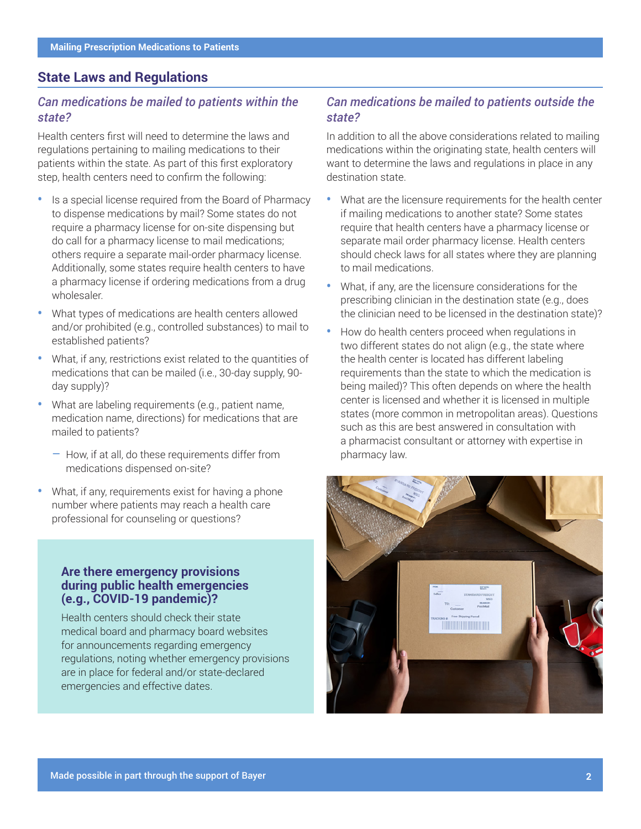### **State Laws and Regulations**

#### *Can medications be mailed to patients within the state?*

Health centers first will need to determine the laws and regulations pertaining to mailing medications to their patients within the state. As part of this first exploratory step, health centers need to confirm the following:

- **•** Is a special license required from the Board of Pharmacy to dispense medications by mail? Some states do not require a pharmacy license for on-site dispensing but do call for a pharmacy license to mail medications; others require a separate mail-order pharmacy license. Additionally, some states require health centers to have a pharmacy license if ordering medications from a drug wholesaler.
- **•** What types of medications are health centers allowed and/or prohibited (e.g., controlled substances) to mail to established patients?
- **•** What, if any, restrictions exist related to the quantities of medications that can be mailed (i.e., 30-day supply, 90 day supply)?
- **•** What are labeling requirements (e.g., patient name, medication name, directions) for medications that are mailed to patients?
	- How, if at all, do these requirements differ from medications dispensed on-site?
- **•** What, if any, requirements exist for having a phone number where patients may reach a health care professional for counseling or questions?

#### **Are there emergency provisions during public health emergencies (e.g., COVID-19 pandemic)?**

Health centers should check their state medical board and pharmacy board websites for announcements regarding emergency regulations, noting whether emergency provisions are in place for federal and/or state-declared emergencies and effective dates.

#### *Can medications be mailed to patients outside the state?*

In addition to all the above considerations related to mailing medications within the originating state, health centers will want to determine the laws and regulations in place in any destination state.

- **•** What are the licensure requirements for the health center if mailing medications to another state? Some states require that health centers have a pharmacy license or separate mail order pharmacy license. Health centers should check laws for all states where they are planning to mail medications.
- **•** What, if any, are the licensure considerations for the prescribing clinician in the destination state (e.g., does the clinician need to be licensed in the destination state)?
- **•** How do health centers proceed when regulations in two different states do not align (e.g., the state where the health center is located has different labeling requirements than the state to which the medication is being mailed)? This often depends on where the health center is licensed and whether it is licensed in multiple states (more common in metropolitan areas). Questions such as this are best answered in consultation with a pharmacist consultant or attorney with expertise in pharmacy law.

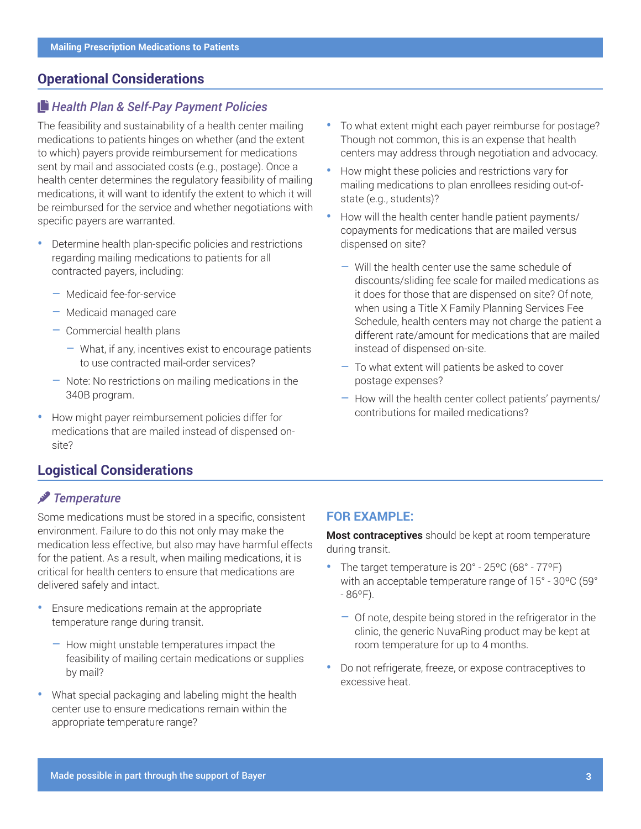## **Operational Considerations**

#### COPY *Health Plan & Self-Pay Payment Policies*

The feasibility and sustainability of a health center mailing medications to patients hinges on whether (and the extent to which) payers provide reimbursement for medications sent by mail and associated costs (e.g., postage). Once a health center determines the regulatory feasibility of mailing medications, it will want to identify the extent to which it will be reimbursed for the service and whether negotiations with specific payers are warranted.

- **•** Determine health plan-specific policies and restrictions regarding mailing medications to patients for all contracted payers, including:
	- Medicaid fee-for-service
	- Medicaid managed care
	- Commercial health plans
		- What, if any, incentives exist to encourage patients to use contracted mail-order services?
	- Note: No restrictions on mailing medications in the 340B program.
- **•** How might payer reimbursement policies differ for medications that are mailed instead of dispensed onsite?

## **Logistical Considerations**

### thermometer *Temperature*

Some medications must be stored in a specific, consistent environment. Failure to do this not only may make the medication less effective, but also may have harmful effects for the patient. As a result, when mailing medications, it is critical for health centers to ensure that medications are delivered safely and intact.

- **•** Ensure medications remain at the appropriate temperature range during transit.
	- How might unstable temperatures impact the feasibility of mailing certain medications or supplies by mail?
- **•** What special packaging and labeling might the health center use to ensure medications remain within the appropriate temperature range?
- **•** To what extent might each payer reimburse for postage? Though not common, this is an expense that health centers may address through negotiation and advocacy.
- **•** How might these policies and restrictions vary for mailing medications to plan enrollees residing out-ofstate (e.g., students)?
- **•** How will the health center handle patient payments/ copayments for medications that are mailed versus dispensed on site?
	- Will the health center use the same schedule of discounts/sliding fee scale for mailed medications as it does for those that are dispensed on site? Of note, when using a Title X Family Planning Services Fee Schedule, health centers may not charge the patient a different rate/amount for medications that are mailed instead of dispensed on-site.
	- To what extent will patients be asked to cover postage expenses?
	- How will the health center collect patients' payments/ contributions for mailed medications?

#### **FOR EXAMPLE:**

**Most contraceptives** should be kept at room temperature during transit.

- **•** The target temperature is 20° 25ºC (68° 77ºF) with an acceptable temperature range of 15° - 30ºC (59°  $-86^{\circ}$ F).
	- Of note, despite being stored in the refrigerator in the clinic, the generic NuvaRing product may be kept at room temperature for up to 4 months.
- **•** Do not refrigerate, freeze, or expose contraceptives to excessive heat.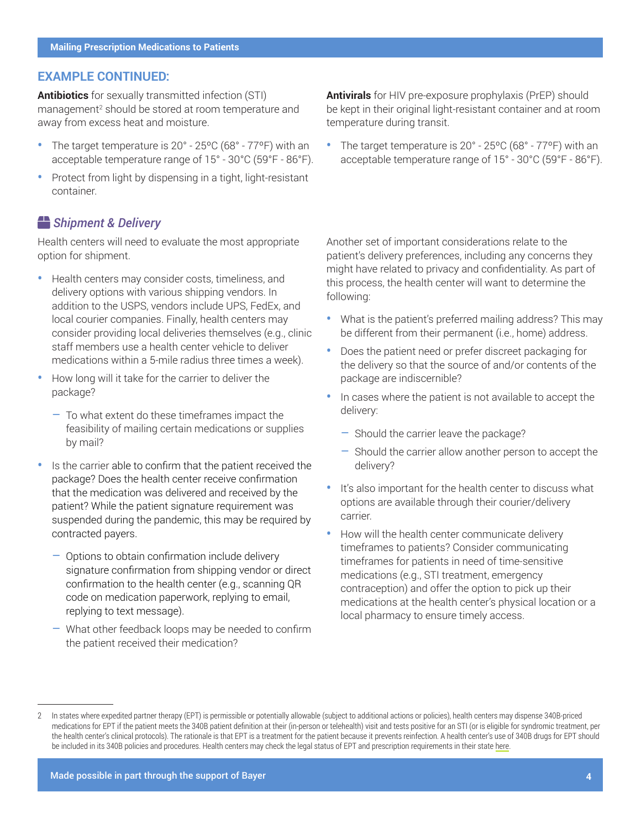#### **EXAMPLE CONTINUED:**

**Antibiotics** for sexually transmitted infection (STI) management<sup>2</sup> should be stored at room temperature and away from excess heat and moisture.

- **•** The target temperature is 20° 25ºC (68° 77ºF) with an acceptable temperature range of 15° - 30°C (59°F - 86°F).
- **•** Protect from light by dispensing in a tight, light-resistant container.

#### **b** Shipment & Delivery

Health centers will need to evaluate the most appropriate option for shipment.

- **•** Health centers may consider costs, timeliness, and delivery options with various shipping vendors. In addition to the USPS, vendors include UPS, FedEx, and local courier companies. Finally, health centers may consider providing local deliveries themselves (e.g., clinic staff members use a health center vehicle to deliver medications within a 5-mile radius three times a week).
- **•** How long will it take for the carrier to deliver the package?
	- To what extent do these timeframes impact the feasibility of mailing certain medications or supplies by mail?
- **•** Is the carrier able to confirm that the patient received the package? Does the health center receive confirmation that the medication was delivered and received by the patient? While the patient signature requirement was suspended during the pandemic, this may be required by contracted payers.
	- Options to obtain confirmation include delivery signature confirmation from shipping vendor or direct confirmation to the health center (e.g., scanning QR code on medication paperwork, replying to email, replying to text message).
	- What other feedback loops may be needed to confirm the patient received their medication?

**Antivirals** for HIV pre-exposure prophylaxis (PrEP) should be kept in their original light-resistant container and at room temperature during transit.

**•** The target temperature is 20° - 25ºC (68° - 77ºF) with an acceptable temperature range of 15° - 30°C (59°F - 86°F).

Another set of important considerations relate to the patient's delivery preferences, including any concerns they might have related to privacy and confidentiality. As part of this process, the health center will want to determine the following:

- **•** What is the patient's preferred mailing address? This may be different from their permanent (i.e., home) address.
- **•** Does the patient need or prefer discreet packaging for the delivery so that the source of and/or contents of the package are indiscernible?
- **•** In cases where the patient is not available to accept the delivery:
	- Should the carrier leave the package?
	- Should the carrier allow another person to accept the delivery?
- **•** It's also important for the health center to discuss what options are available through their courier/delivery carrier.
- How will the health center communicate delivery timeframes to patients? Consider communicating timeframes for patients in need of time-sensitive medications (e.g., STI treatment, emergency contraception) and offer the option to pick up their medications at the health center's physical location or a local pharmacy to ensure timely access.

Made possible in part through the support of Bayer **4**

<sup>2</sup> In states where expedited partner therapy (EPT) is permissible or potentially allowable (subject to additional actions or policies), health centers may dispense 340B-priced medications for EPT if the patient meets the 340B patient definition at their (in-person or telehealth) visit and tests positive for an STI (or is eligible for syndromic treatment, per the health center's clinical protocols). The rationale is that EPT is a treatment for the patient because it prevents reinfection. A health center's use of 340B drugs for EPT should be included in its 340B policies and procedures. Health centers may check the legal status of EPT and prescription requirements in their state [here](https://www.nationalfamilyplanning.org/file/Assessing-Patient-Experience-of-Care-Appendix-03182022.pdf).